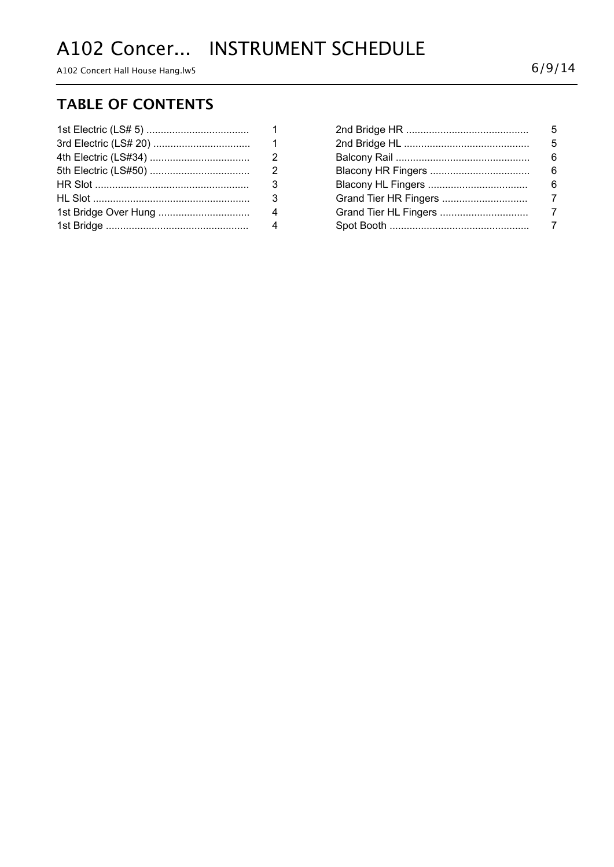# A102 Concer... INSTRUMENT SCHEDULE

A102 Concert Hall House Hang.lw5  $6/9/14$ 

#### **TABLE OF CONTENTS**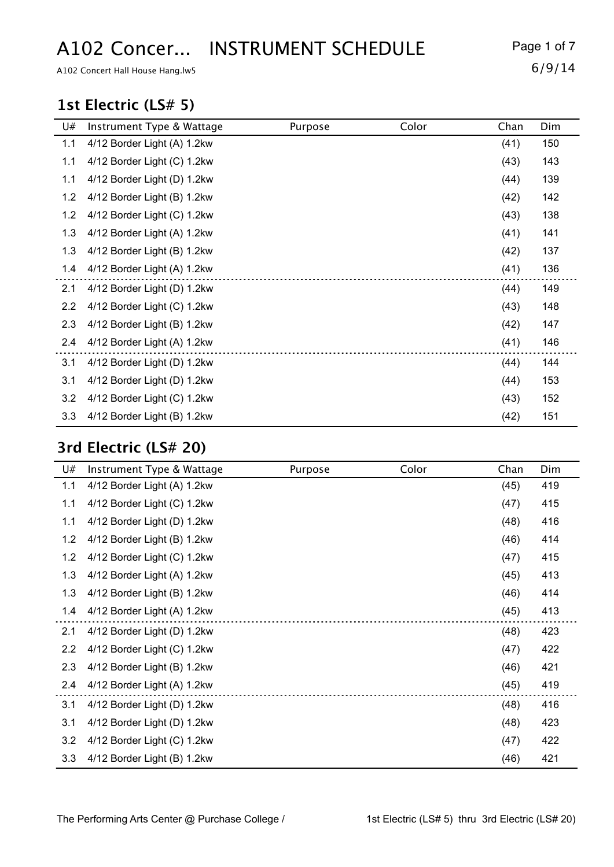# A102 Concer... INSTRUMENT SCHEDULE Page 1 of 7

A102 Concert Hall House Hang.lw5  $6/9/14$ 

#### **1st Electric (LS# 5)**

| U#  | Instrument Type & Wattage   | Purpose | Color | Chan | Dim |
|-----|-----------------------------|---------|-------|------|-----|
| 1.1 | 4/12 Border Light (A) 1.2kw |         |       | (41) | 150 |
| 1.1 | 4/12 Border Light (C) 1.2kw |         |       | (43) | 143 |
| 1.1 | 4/12 Border Light (D) 1.2kw |         |       | (44) | 139 |
| 1.2 | 4/12 Border Light (B) 1.2kw |         |       | (42) | 142 |
| 1.2 | 4/12 Border Light (C) 1.2kw |         |       | (43) | 138 |
| 1.3 | 4/12 Border Light (A) 1.2kw |         |       | (41) | 141 |
| 1.3 | 4/12 Border Light (B) 1.2kw |         |       | (42) | 137 |
| 1.4 | 4/12 Border Light (A) 1.2kw |         |       | (41) | 136 |
| 2.1 | 4/12 Border Light (D) 1.2kw |         |       | (44) | 149 |
| 2.2 | 4/12 Border Light (C) 1.2kw |         |       | (43) | 148 |
| 2.3 | 4/12 Border Light (B) 1.2kw |         |       | (42) | 147 |
| 2.4 | 4/12 Border Light (A) 1.2kw |         |       | (41) | 146 |
| 3.1 | 4/12 Border Light (D) 1.2kw |         |       | (44) | 144 |
| 3.1 | 4/12 Border Light (D) 1.2kw |         |       | (44) | 153 |
| 3.2 | 4/12 Border Light (C) 1.2kw |         |       | (43) | 152 |
| 3.3 | 4/12 Border Light (B) 1.2kw |         |       | (42) | 151 |

### **3rd Electric (LS# 20)**

| U#  | Instrument Type & Wattage   | Purpose | Color | Chan | Dim |
|-----|-----------------------------|---------|-------|------|-----|
| 1.1 | 4/12 Border Light (A) 1.2kw |         |       | (45) | 419 |
| 1.1 | 4/12 Border Light (C) 1.2kw |         |       | (47) | 415 |
| 1.1 | 4/12 Border Light (D) 1.2kw |         |       | (48) | 416 |
| 1.2 | 4/12 Border Light (B) 1.2kw |         |       | (46) | 414 |
| 1.2 | 4/12 Border Light (C) 1.2kw |         |       | (47) | 415 |
| 1.3 | 4/12 Border Light (A) 1.2kw |         |       | (45) | 413 |
| 1.3 | 4/12 Border Light (B) 1.2kw |         |       | (46) | 414 |
| 1.4 | 4/12 Border Light (A) 1.2kw |         |       | (45) | 413 |
| 2.1 | 4/12 Border Light (D) 1.2kw |         |       | (48) | 423 |
| 2.2 | 4/12 Border Light (C) 1.2kw |         |       | (47) | 422 |
| 2.3 | 4/12 Border Light (B) 1.2kw |         |       | (46) | 421 |
| 2.4 | 4/12 Border Light (A) 1.2kw |         |       | (45) | 419 |
| 3.1 | 4/12 Border Light (D) 1.2kw |         |       | (48) | 416 |
| 3.1 | 4/12 Border Light (D) 1.2kw |         |       | (48) | 423 |
| 3.2 | 4/12 Border Light (C) 1.2kw |         |       | (47) | 422 |
| 3.3 | 4/12 Border Light (B) 1.2kw |         |       | (46) | 421 |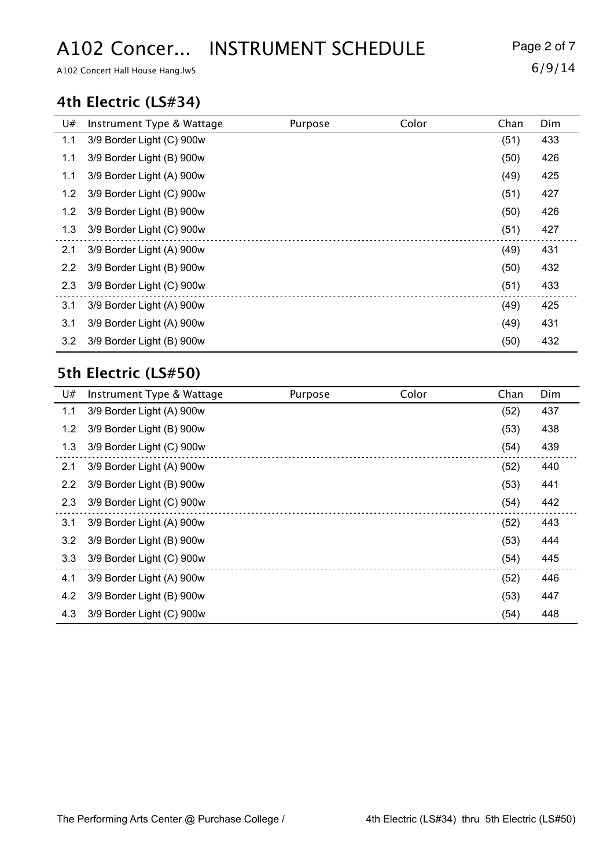# A102 Concer... INSTRUMENT SCHEDULE Page 2 of 7

A102 Concert Hall House Hang.lw5  $6/9/14$ 

#### **4th Electric (LS#34)**

| U#  | Instrument Type & Wattage | Purpose | Color | Chan | Dim |
|-----|---------------------------|---------|-------|------|-----|
| 1.1 | 3/9 Border Light (C) 900w |         |       | (51) | 433 |
| 1.1 | 3/9 Border Light (B) 900w |         |       | (50) | 426 |
| 1.1 | 3/9 Border Light (A) 900w |         |       | (49) | 425 |
| 1.2 | 3/9 Border Light (C) 900w |         |       | (51) | 427 |
| 1.2 | 3/9 Border Light (B) 900w |         |       | (50) | 426 |
| 1.3 | 3/9 Border Light (C) 900w |         |       | (51) | 427 |
| 2.1 | 3/9 Border Light (A) 900w |         |       | (49) | 431 |
| 2.2 | 3/9 Border Light (B) 900w |         |       | (50) | 432 |
| 2.3 | 3/9 Border Light (C) 900w |         |       | (51) | 433 |
| 3.1 | 3/9 Border Light (A) 900w |         |       | (49) | 425 |
| 3.1 | 3/9 Border Light (A) 900w |         |       | (49) | 431 |
| 3.2 | 3/9 Border Light (B) 900w |         |       | (50) | 432 |

#### **5th Electric (LS#50)**

| U#            | Instrument Type & Wattage | Purpose | Color | Chan | Dim |
|---------------|---------------------------|---------|-------|------|-----|
| 1.1           | 3/9 Border Light (A) 900w |         |       | (52) | 437 |
| 1.2           | 3/9 Border Light (B) 900w |         |       | (53) | 438 |
| 1.3           | 3/9 Border Light (C) 900w |         |       | (54) | 439 |
| 2.1           | 3/9 Border Light (A) 900w |         |       | (52) | 440 |
| $2.2^{\circ}$ | 3/9 Border Light (B) 900w |         |       | (53) | 441 |
| 2.3           | 3/9 Border Light (C) 900w |         |       | (54) | 442 |
| 3.1           | 3/9 Border Light (A) 900w |         |       | (52) | 443 |
| 3.2           | 3/9 Border Light (B) 900w |         |       | (53) | 444 |
| 3.3           | 3/9 Border Light (C) 900w |         |       | (54) | 445 |
| 4.1           | 3/9 Border Light (A) 900w |         |       | (52) | 446 |
| 4.2           | 3/9 Border Light (B) 900w |         |       | (53) | 447 |
| 4.3           | 3/9 Border Light (C) 900w |         |       | (54) | 448 |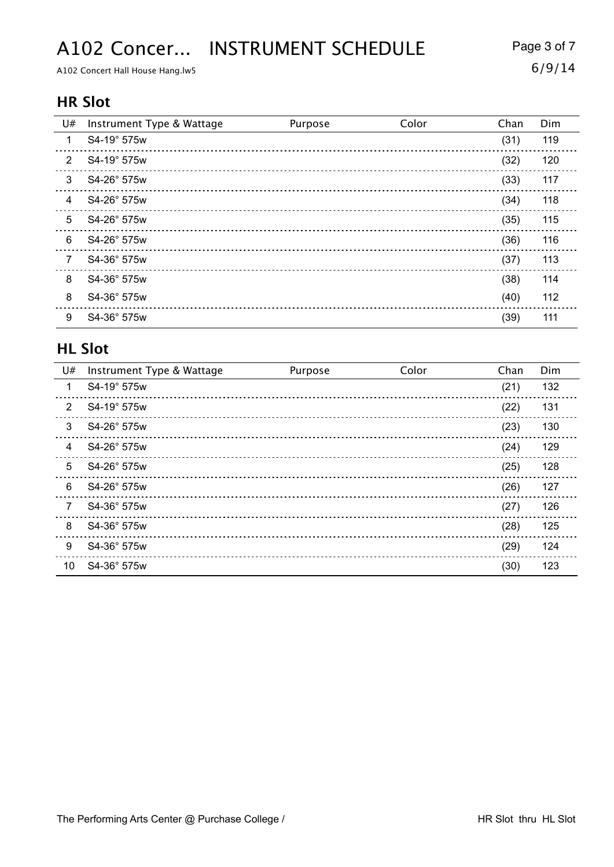## A102 Concer... INSTRUMENT SCHEDULE Page 3 of 7

A102 Concert Hall House Hang.lw5  $6/9/14$ 

#### **HR Slot**

| U# | Instrument Type & Wattage | Purpose | Color | Chan | Dim |
|----|---------------------------|---------|-------|------|-----|
| 1  | S4-19° 575w               |         |       | (31) | 119 |
| 2  | S4-19° 575w               |         |       | (32) | 120 |
| 3  | S4-26° 575w               |         |       | (33) | 117 |
| 4  | S4-26° 575w               |         |       | (34) | 118 |
| 5  | S4-26° 575w               |         |       | (35) | 115 |
| 6  | S4-26° 575w               |         |       | (36) | 116 |
| 7  | S4-36° 575w               |         |       | (37) | 113 |
| 8  | S4-36° 575w               |         |       | (38) | 114 |
| 8  | S4-36° 575w               |         |       | (40) | 112 |
| 9  | S4-36° 575w               |         |       | (39) | 111 |

#### **HL Slot**

| U#             | Instrument Type & Wattage | Purpose | Color | Chan | Dim |
|----------------|---------------------------|---------|-------|------|-----|
| 1              | S4-19° 575w               |         |       | (21) | 132 |
| 2              | S4-19° 575w               |         |       | (22) | 131 |
| 3              | S4-26° 575w               |         |       | (23) | 130 |
| $\overline{4}$ | S4-26° 575w               |         |       | (24) | 129 |
| 5              | S4-26° 575w               |         |       | (25) | 128 |
| 6              | S4-26° 575w               |         |       | (26) | 127 |
| $\overline{7}$ | S4-36° 575w               |         |       | (27) | 126 |
| 8              | S4-36° 575w               |         |       | (28) | 125 |
| 9              | S4-36° 575w               |         |       | (29) | 124 |
| 10             | S4-36° 575w               |         |       | (30) | 123 |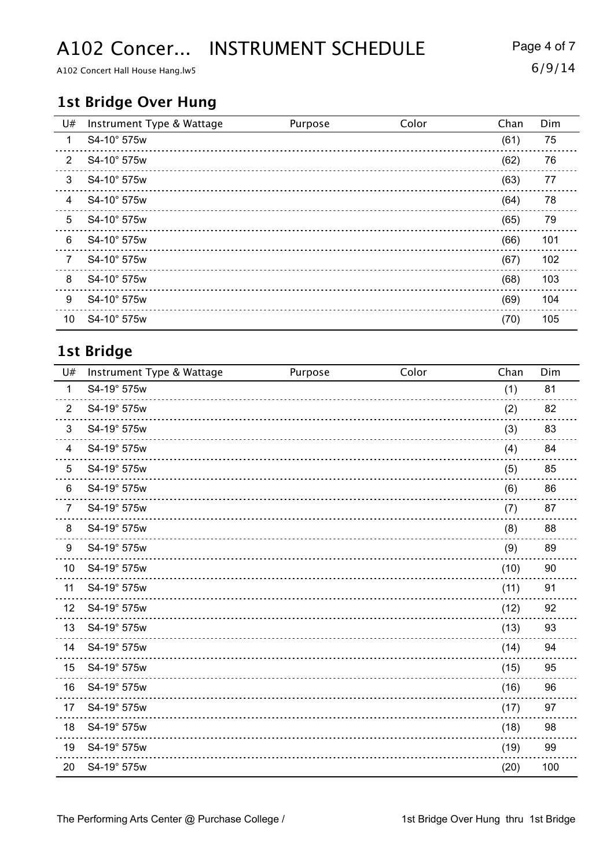## A102 Concer... INSTRUMENT SCHEDULE Page 4 of 7

A102 Concert Hall House Hang.lw5  $6/9/14$ 

#### **1st Bridge Over Hung**

| U#             | Instrument Type & Wattage | Purpose | Color | Chan | Dim |
|----------------|---------------------------|---------|-------|------|-----|
| $\mathbf 1$    | S4-10° 575w               |         |       | (61) | 75  |
| 2              | S4-10° 575w               |         |       | (62) | 76  |
| 3              | S4-10° 575w               |         |       | (63) | 77  |
| 4              | S4-10° 575w               |         |       | (64) | 78  |
| 5              | S4-10° 575w               |         |       | (65) | 79  |
| 6              | S4-10° 575w               |         |       | (66) | 101 |
| $\overline{7}$ | S4-10° 575w               |         |       | (67) | 102 |
| 8              | S4-10° 575w               |         |       | (68) | 103 |
| 9              | S4-10° 575w               |         |       | (69) | 104 |
| 10             | S4-10° 575w               |         |       | (70) | 105 |

### **1st Bridge**

| U#             | Instrument Type & Wattage | Purpose | Color | Chan | Dim |
|----------------|---------------------------|---------|-------|------|-----|
| $\mathbf{1}$   | S4-19° 575w               |         |       | (1)  | 81  |
| $\overline{2}$ | S4-19° 575w               |         |       | (2)  | 82  |
| 3              | S4-19° 575w               |         |       | (3)  | 83  |
| 4              | S4-19° 575w               |         |       | (4)  | 84  |
| 5              | S4-19° 575w               |         |       | (5)  | 85  |
| 6              | S4-19° 575w               |         |       | (6)  | 86  |
| $\overline{7}$ | S4-19° 575w               |         |       | (7)  | 87  |
| 8              | S4-19° 575w               |         |       | (8)  | 88  |
| 9              | S4-19° 575w               |         |       | (9)  | 89  |
| 10             | S4-19° 575w               |         |       | (10) | 90  |
| 11             | S4-19° 575w               |         |       | (11) | 91  |
| 12             | S4-19° 575w               |         |       | (12) | 92  |
| 13             | S4-19° 575w               |         |       | (13) | 93  |
| 14             | S4-19° 575w               |         |       | (14) | 94  |
| 15             | S4-19° 575w               |         |       | (15) | 95  |
| 16             | S4-19° 575w               |         |       | (16) | 96  |
| 17             | S4-19° 575w               |         |       | (17) | 97  |
| 18             | S4-19° 575w               |         |       | (18) | 98  |
| 19             | S4-19° 575w               |         |       | (19) | 99  |
| 20             | S4-19° 575w               |         |       | (20) | 100 |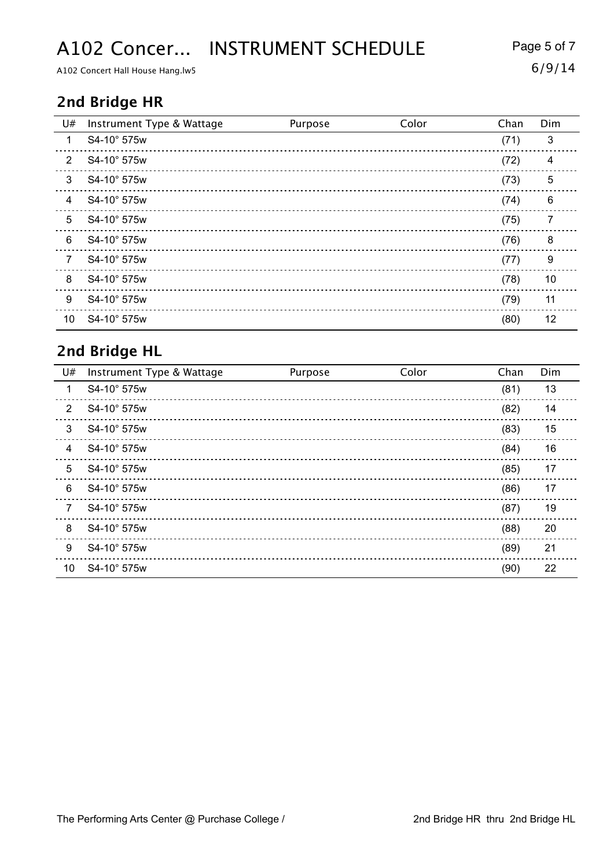## A102 Concer... INSTRUMENT SCHEDULE Page 5 of 7

A102 Concert Hall House Hang.lw5  $6/9/14$ 

### **2nd Bridge HR**

| U#             | Instrument Type & Wattage | Purpose | Color | Chan | Dim |
|----------------|---------------------------|---------|-------|------|-----|
| 1              | S4-10° 575w               |         |       | (71) | 3   |
| $\overline{2}$ | S4-10° 575w               |         |       | (72) | 4   |
| 3              | S4-10° 575w               |         |       | (73) | 5   |
| 4              | S4-10° 575w               |         |       | (74) | 6   |
| 5              | S4-10° 575w               |         |       | (75) | 7   |
| 6              | S4-10° 575w               |         |       | (76) | 8   |
| 7              | S4-10° 575w               |         |       | (77) | 9   |
| 8              | S4-10° 575w               |         |       | (78) | 10  |
| 9              | S4-10° 575w               |         |       | (79) | 11  |
| 10             | S4-10° 575w               |         |       | (80) | 12  |

#### **2nd Bridge HL**

| U#             | Instrument Type & Wattage | Purpose | Color | Chan | Dim |
|----------------|---------------------------|---------|-------|------|-----|
| 1              | S4-10° 575w               |         |       | (81) | 13  |
| $\overline{2}$ | S4-10° 575w               |         |       | (82) | 14  |
| 3              | S4-10° 575w               |         |       | (83) | 15  |
| $\overline{4}$ | S4-10° 575w               |         |       | (84) | 16  |
| 5              | S4-10° 575w               |         |       | (85) | 17  |
| 6              | S4-10° 575w               |         |       | (86) | 17  |
| 7              | S4-10° 575w               |         |       | (87) | 19  |
| 8              | S4-10° 575w               |         |       | (88) | 20  |
| 9              | S4-10° 575w               |         |       | (89) | 21  |
| 10             | S4-10° 575w               |         |       | (90) | 22  |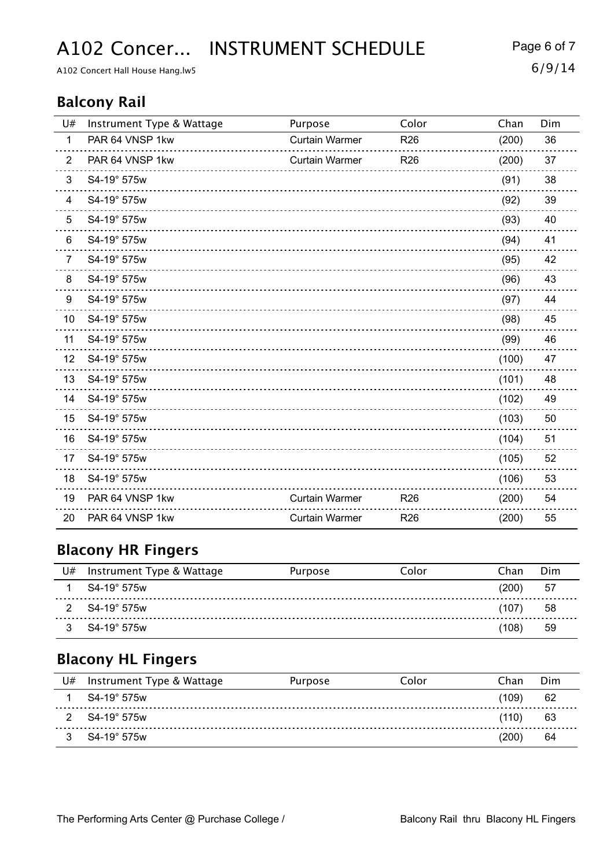A102 Concer... INSTRUMENT SCHEDULE Page 6 of 7

A102 Concert Hall House Hang.lw5  $6/9/14$ 

#### **Balcony Rail**

| U#             | Instrument Type & Wattage | Purpose               | Color           | Chan  | Dim |
|----------------|---------------------------|-----------------------|-----------------|-------|-----|
| $\mathbf{1}$   | PAR 64 VNSP 1kw           | <b>Curtain Warmer</b> | R <sub>26</sub> | (200) | 36  |
| $\overline{2}$ | PAR 64 VNSP 1kw           | <b>Curtain Warmer</b> | R <sub>26</sub> | (200) | 37  |
| 3              | S4-19° 575w               |                       |                 | (91)  | 38  |
| 4              | S4-19° 575w               |                       |                 | (92)  | 39  |
| 5              | S4-19° 575w               |                       |                 | (93)  | 40  |
| 6              | S4-19° 575w               |                       |                 | (94)  | 41  |
| $\overline{7}$ | S4-19° 575w               |                       |                 | (95)  | 42  |
| 8              | S4-19° 575w               |                       |                 | (96)  | 43  |
| 9              | S4-19° 575w               |                       |                 | (97)  | 44  |
| 10             | S4-19° 575w               |                       |                 | (98)  | 45  |
| 11             | S4-19° 575w               |                       |                 | (99)  | 46  |
| 12             | S4-19° 575w               |                       |                 | (100) | 47  |
| 13             | S4-19° 575w               |                       |                 | (101) | 48  |
| 14             | S4-19° 575w               |                       |                 | (102) | 49  |
| 15             | S4-19° 575w               |                       |                 | (103) | 50  |
| 16             | S4-19° 575w               |                       |                 | (104) | 51  |
| 17             | S4-19° 575w               |                       |                 | (105) | 52  |
| 18             | S4-19° 575w               |                       |                 | (106) | 53  |
| 19             | PAR 64 VNSP 1kw           | <b>Curtain Warmer</b> | R <sub>26</sub> | (200) | 54  |
| 20             | PAR 64 VNSP 1kw           | <b>Curtain Warmer</b> | R <sub>26</sub> | (200) | 55  |

### **Blacony HR Fingers**

| U# | Instrument Type & Wattage | Purpose | Color | Chan  | Dim |
|----|---------------------------|---------|-------|-------|-----|
|    | S4-19° 575w               |         |       | (200) | 57  |
|    | S4-19° 575w               |         |       | (107) | 58  |
|    | S4-19° 575w               |         |       | 108)  | 59  |

### **Blacony HL Fingers**

| U# | Instrument Type & Wattage | Purpose | Color | Chan                    | Dim |
|----|---------------------------|---------|-------|-------------------------|-----|
|    | S4-19° 575w               |         |       | 109)                    | 62  |
| 2  | S4-19° 575w               |         |       | (110)                   | 63  |
|    | S4-19° 575w               |         |       | $^{\prime}200^{\prime}$ | 64  |